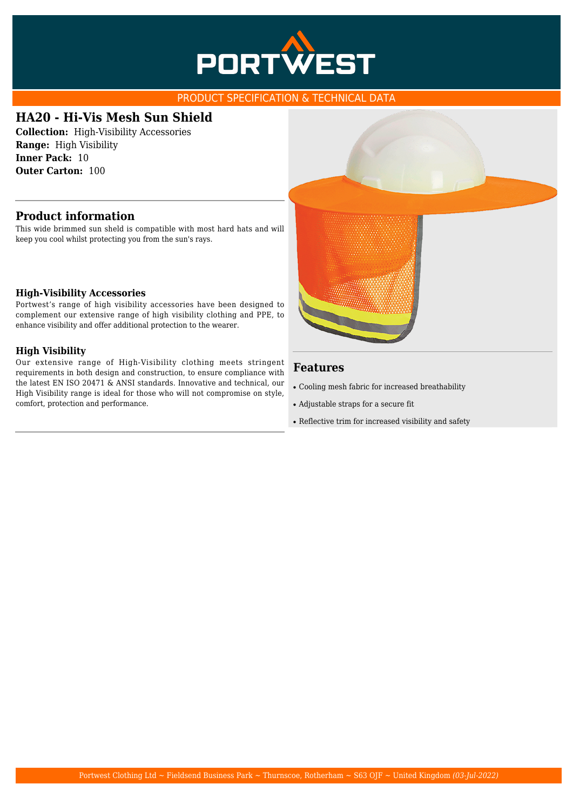

#### PRODUCT SPECIFICATION & TECHNICAL DATA

## **HA20 - Hi-Vis Mesh Sun Shield**

**Collection:** High-Visibility Accessories **Range:** High Visibility **Inner Pack:** 10 **Outer Carton:** 100

## **Product information**

This wide brimmed sun sheld is compatible with most hard hats and will keep you cool whilst protecting you from the sun's rays.

#### **High-Visibility Accessories**

Portwest's range of high visibility accessories have been designed to complement our extensive range of high visibility clothing and PPE, to enhance visibility and offer additional protection to the wearer.

#### **High Visibility**

Our extensive range of High-Visibility clothing meets stringent requirements in both design and construction, to ensure compliance with the latest EN ISO 20471 & ANSI standards. Innovative and technical, our High Visibility range is ideal for those who will not compromise on style, comfort, protection and performance.



## **Features**

- Cooling mesh fabric for increased breathability
- Adjustable straps for a secure fit
- Reflective trim for increased visibility and safety